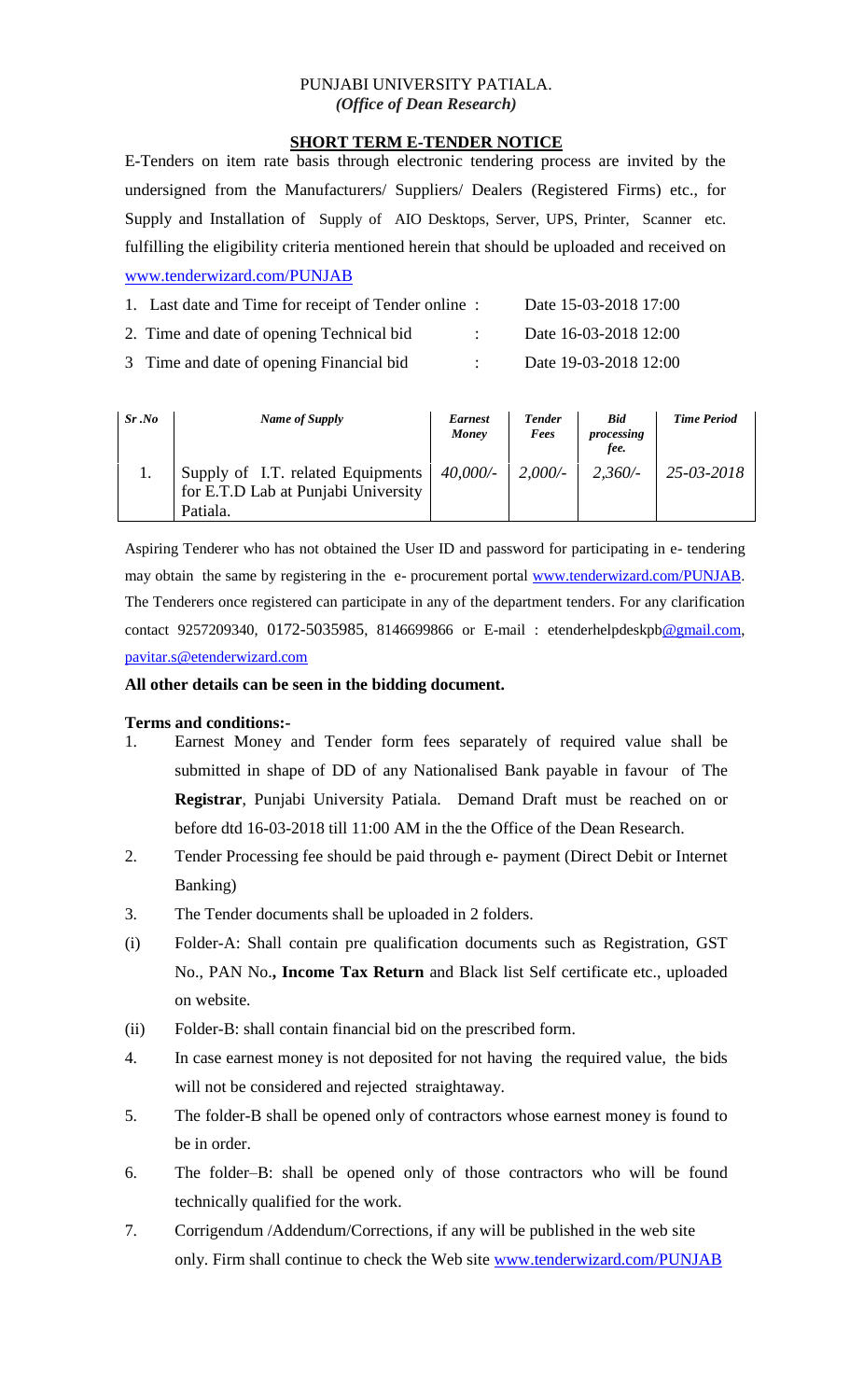### PUNJABI UNIVERSITY PATIALA. *(Office of Dean Research)*

### **SHORT TERM E-TENDER NOTICE**

E-Tenders on item rate basis through electronic tendering process are invited by the undersigned from the Manufacturers/ Suppliers/ Dealers (Registered Firms) etc., for Supply and Installation of Supply of AIO Desktops, Server, UPS, Printer, Scanner etc. fulfilling the eligibility criteria mentioned herein that should be uploaded and received on [www.tenderwizard.com/PUNJAB](http://www.tenderwizard.com/PUNJAB)

| 1. Last date and Time for receipt of Tender online: | Date 15-03-2018 17:00 |
|-----------------------------------------------------|-----------------------|
| 2. Time and date of opening Technical bid.          | Date 16-03-2018 12:00 |
| 3 Time and date of opening Financial bid            | Date 19-03-2018 12:00 |

| Sr.No | Name of Supply                                                                       | <b>Earnest</b><br>Money | <b>Tender</b><br>Fees | <b>Bid</b><br>processing<br>fee. | <b>Time Period</b> |
|-------|--------------------------------------------------------------------------------------|-------------------------|-----------------------|----------------------------------|--------------------|
|       | Supply of I.T. related Equipments<br>for E.T.D Lab at Punjabi University<br>Patiala. | 40,000/-                | 2,000/                | 2,360/                           | 25-03-2018         |

Aspiring Tenderer who has not obtained the User ID and password for participating in e- tendering may obtain the same by registering in the e- procurement portal [www.tenderwizard.com/PUNJAB.](http://www.tenderwizard.com/PUNJAB) The Tenderers once registered can participate in any of the department tenders. For any clarification contact 9257209340, 0172-5035985, 8146699866 or E-mail: etenderhelpdeskp[b@gmail.com,](mailto:@gmail.com) [pavitar.s@etenderwizard.com](mailto:pavitar.s@etenderwizard.com)

#### **All other details can be seen in the bidding document.**

#### **Terms and conditions:-**

- 1. Earnest Money and Tender form fees separately of required value shall be submitted in shape of DD of any Nationalised Bank payable in favour of The **Registrar**, Punjabi University Patiala. Demand Draft must be reached on or before dtd 16-03-2018 till 11:00 AM in the the Office of the Dean Research.
- 2. Tender Processing fee should be paid through e- payment (Direct Debit or Internet Banking)
- 3. The Tender documents shall be uploaded in 2 folders.
- (i) Folder-A: Shall contain pre qualification documents such as Registration, GST No., PAN No.**, Income Tax Return** and Black list Self certificate etc., uploaded on website.
- (ii) Folder-B: shall contain financial bid on the prescribed form.
- 4. In case earnest money is not deposited for not having the required value, the bids will not be considered and rejected straightaway.
- 5. The folder-B shall be opened only of contractors whose earnest money is found to be in order.
- 6. The folder–B: shall be opened only of those contractors who will be found technically qualified for the work.
- 7. Corrigendum /Addendum/Corrections, if any will be published in the web site only. Firm shall continue to check the Web site [www.tenderwizard.com/PUNJAB](http://www.tenderwizard.com/PUNJAB)